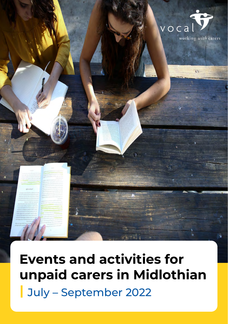

# **Events and activities for unpaid carers in Midlothian |** July – September 2022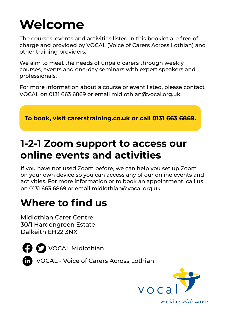# **Welcome**

The courses, events and activities listed in this booklet are free of charge and provided by VOCAL (Voice of Carers Across Lothian) and other training providers.

We aim to meet the needs of unpaid carers through weekly courses, events and one-day seminars with expert speakers and professionals.

For more information about a course or event listed, please contact VOCAL on 0131 663 6869 or email midlothian[@vocal.org.uk](mailto:midlothian%40vocal.org.uk?subject=).

**To book, visit [carerstraining.co.uk](http://www.carerstraining.co.uk) or call 0131 663 6869.**

# **1-2-1 Zoom support to access our online events and activities**

If you have not used Zoom before, we can help you set up Zoom on your own device so you can access any of our online events and activities. For more information or to book an appointment, call us on 0131 663 6869 or email [midlothian@vocal.org.uk.](mailto:midlothian%40vocal.org.uk?subject=1-2-1%20Zoom%20Support)

# **Where to find us**

Midlothian Carer Centre 30/1 Hardengreen Estate Dalkeith EH22 3NX





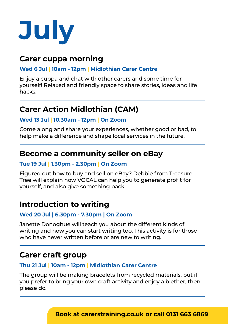

# **Carer cuppa morning**

#### **Wed 6 Jul | 10am - 12pm | Midlothian Carer Centre**

Enjoy a cuppa and chat with other carers and some time for yourself! Relaxed and friendly space to share stories, ideas and life hacks.

# **Carer Action Midlothian (CAM)**

#### **Wed 13 Jul | 10.30am - 12pm | On Zoom**

Come along and share your experiences, whether good or bad, to help make a difference and shape local services in the future.

# **Become a community seller on eBay**

#### **Tue 19 Jul | 1.30pm - 2.30pm | On Zoom**

Figured out how to buy and sell on eBay? Debbie from Treasure Tree will explain how VOCAL can help you to generate profit for yourself, and also give something back.

# **Introduction to writing**

#### **Wed 20 Jul | 6.30pm - 7.30pm | On Zoom**

Janette Donoghue will teach you about the different kinds of writing and how you can start writing too. This activity is for those who have never written before or are new to writing.

# **Carer craft group**

#### **Thu 21 Jul | 10am - 12pm | Midlothian Carer Centre**

The group will be making bracelets from recycled materials, but if you prefer to bring your own craft activity and enjoy a blether, then please do.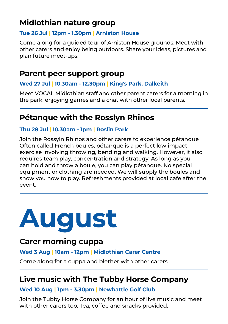# **Midlothian nature group**

#### **Tue 26 Jul | 12pm - 1.30pm | Arniston House**

Come along for a guided tour of Arniston House grounds. Meet with other carers and enjoy being outdoors. Share your ideas, pictures and plan future meet-ups.

### **Parent peer support group**

#### **Wed 27 Jul | 10.30am - 12.30pm | King's Park, Dalkeith**

Meet VOCAL Midlothian staff and other parent carers for a morning in the park, enjoying games and a chat with other local parents.

# **Pétanque with the Rosslyn Rhinos**

#### **Thu 28 Jul | 10.30am - 1pm | Roslin Park**

Join the Rossyln Rhinos and other carers to experience pétanque Often called French boules, pétanque is a perfect low impact exercise involving throwing, bending and walking. However, it also requires team play, concentration and strategy. As long as you can hold and throw a boule, you can play pétanque. No special equipment or clothing are needed. We will supply the boules and show you how to play. Refreshments provided at local cafe after the event.

# **August**

# **Carer morning cuppa**

#### **Wed 3 Aug | 10am - 12pm | Midlothian Carer Centre**

Come along for a cuppa and blether with other carers.

# **Live music with The Tubby Horse Company**

#### **Wed 10 Aug | 1pm - 3.30pm | Newbattle Golf Club**

Join the Tubby Horse Company for an hour of live music and meet with other carers too. Tea, coffee and snacks provided.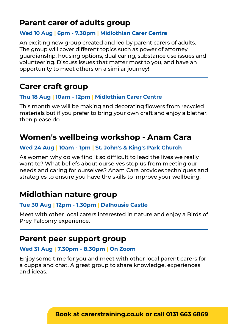# **Parent carer of adults group**

#### **Wed 10 Aug | 6pm - 7.30pm | Midlothian Carer Centre**

An exciting new group created and led by parent carers of adults. The group will cover different topics such as power of attorney. guardianship, housing options, dual caring, substance use issues and volunteering. Discuss issues that matter most to you, and have an opportunity to meet others on a similar journey!

# **Carer craft group**

#### **Thu 18 Aug | 10am - 12pm | Midlothian Carer Centre**

This month we will be making and decorating flowers from recycled materials but if you prefer to bring your own craft and enjoy a blether, then please do.

# **Women's wellbeing workshop - Anam Cara**

#### **Wed 24 Aug | 10am - 1pm | St. John's & King's Park Church**

As women why do we find it so difficult to lead the lives we really want to? What beliefs about ourselves stop us from meeting our needs and caring for ourselves? Anam Cara provides techniques and strategies to ensure you have the skills to improve your wellbeing.

# **Midlothian nature group**

#### **Tue 30 Aug | 12pm - 1.30pm | Dalhousie Castle**

Meet with other local carers interested in nature and enjoy a Birds of Prey Falconry experience.

### **Parent peer support group**

#### **Wed 31 Aug | 7.30pm - 8.30pm | On Zoom**

Enjoy some time for you and meet with other local parent carers for a cuppa and chat. A great group to share knowledge, experiences and ideas.

#### **Book at [carerstraining.co.uk](http://www.carerstraining.co.uk) or call 0131 663 6869**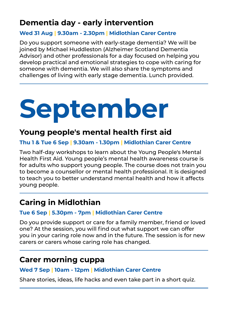# **Dementia day - early intervention**

#### **Wed 31 Aug | 9.30am - 2.30pm | Midlothian Carer Centre**

Do you support someone with early-stage dementia? We will be joined by Michael Huddleston (Alzheimer Scotland Dementia Advisor) and other professionals for a day focused on helping you develop practical and emotional strategies to cope with caring for someone with dementia. We will also share the symptoms and challenges of living with early stage dementia. Lunch provided.

# **September**

# **Young people's mental health first aid**

#### **Thu 1 & Tue 6 Sep | 9.30am - 1.30pm | Midlothian Carer Centre**

Two half-day workshops to learn about the Young People's Mental Health First Aid. Young people's mental health awareness course is for adults who support young people. The course does not train you to become a counsellor or mental health professional. It is designed to teach you to better understand mental health and how it affects young people.

# **Caring in Midlothian**

#### **Tue 6 Sep | 5.30pm - 7pm | Midlothian Carer Centre**

Do you provide support or care for a family member, friend or loved one? At the session, you will find out what support we can offer you in your caring role now and in the future. The session is for new carers or carers whose caring role has changed.

# **Carer morning cuppa**

#### **Wed 7 Sep | 10am - 12pm | Midlothian Carer Centre**

Share stories, ideas, life hacks and even take part in a short quiz.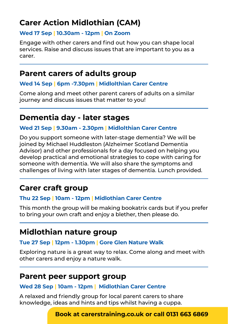# **Carer Action Midlothian (CAM)**

#### **Wed 17 Sep | 10.30am - 12pm | On Zoom**

Engage with other carers and find out how you can shape local services. Raise and discuss issues that are important to you as a carer.

# **Parent carers of adults group**

#### **Wed 14 Sep | 6pm -7.30pm | Midlolthian Carer Centre**

Come along and meet other parent carers of adults on a similar journey and discuss issues that matter to you!

# **Dementia day - later stages**

#### **Wed 21 Sep | 9.30am - 2.30pm | Midlolthian Carer Centre**

Do you support someone with later-stage dementia? We will be joined by Michael Huddleston (Alzheimer Scotland Dementia Advisor) and other professionals for a day focused on helping you develop practical and emotional strategies to cope with caring for someone with dementia. We will also share the symptoms and challenges of living with later stages of dementia. Lunch provided.

# **Carer craft group**

#### **Thu 22 Sep | 10am - 12pm | Midlothian Carer Centre**

This month the group will be making bookatrix cards but if you prefer to bring your own craft and enjoy a blether, then please do.

# **Midlothian nature group**

#### **Tue 27 Sep | 12pm - 1.30pm | Gore Glen Nature Walk**

Exploring nature is a great way to relax. Come along and meet with other carers and enjoy a nature walk.

# **Parent peer support group**

#### **Wed 28 Sep | 10am - 12pm | Midlothian Carer Centre**

A relaxed and friendly group for local parent carers to share knowledge, ideas and hints and tips whilst having a cuppa.

#### **Book at [carerstraining.co.uk](http://www.carerstraining.co.uk) or call 0131 663 6869**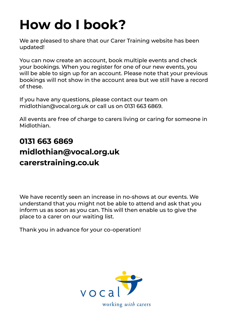# **How do I book?**

We are pleased to share that our Carer Training website has been updated!

You can now create an account, book multiple events and check your bookings. When you register for one of our new events, you will be able to sign up for an account. Please note that your previous bookings will not show in the account area but we still have a record of these.

If you have any questions, please contact our team on [midlothian@vocal.org.uk](mailto:midlothian%40vocal.org.uk?subject=) or call us on 0131 663 6869.

All events are free of charge to carers living or caring for someone in Midlothian.

# **0131 663 6869 midlothia[n@vocal.org.uk](mailto:midlothian%40vocal.org.uk?subject=) [carerstraining.co.uk](https://carerstraining.co.uk)**

We have recently seen an increase in no-shows at our events. We understand that you might not be able to attend and ask that you inform us as soon as you can. This will then enable us to give the place to a carer on our waiting list.

Thank you in advance for your co-operation!